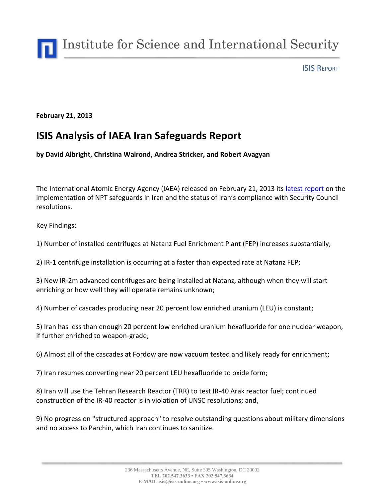

#### ISIS REPORT

#### **February 21, 2013**

# **ISIS Analysis of IAEA Iran Safeguards Report**

**by David Albright, Christina Walrond, Andrea Stricker, and Robert Avagyan**

The International Atomic Energy Agency (IAEA) released on February 21, 2013 its [latest report](http://www.isis-online.org/uploads/isis-reports/documents/IAEA_Iran_Safeguards_report_--_21_Feb_2013.pdf) on the implementation of NPT safeguards in Iran and the status of Iran's compliance with Security Council resolutions.

Key Findings:

1) Number of installed centrifuges at Natanz Fuel Enrichment Plant (FEP) increases substantially;

2) IR-1 centrifuge installation is occurring at a faster than expected rate at Natanz FEP;

3) New IR-2m advanced centrifuges are being installed at Natanz, although when they will start enriching or how well they will operate remains unknown;

4) Number of cascades producing near 20 percent low enriched uranium (LEU) is constant;

5) Iran has less than enough 20 percent low enriched uranium hexafluoride for one nuclear weapon, if further enriched to weapon-grade;

6) Almost all of the cascades at Fordow are now vacuum tested and likely ready for enrichment;

7) Iran resumes converting near 20 percent LEU hexafluoride to oxide form;

8) Iran will use the Tehran Research Reactor (TRR) to test IR-40 Arak reactor fuel; continued construction of the IR-40 reactor is in violation of UNSC resolutions; and,

9) No progress on "structured approach" to resolve outstanding questions about military dimensions and no access to Parchin, which Iran continues to sanitize.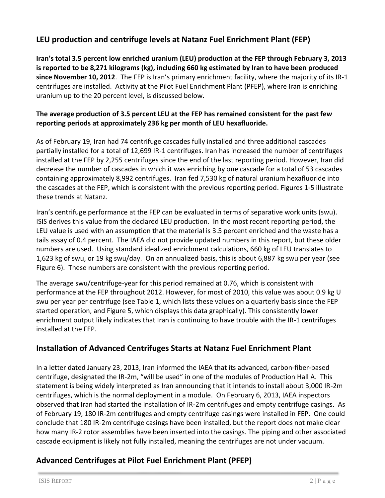## **LEU production and centrifuge levels at Natanz Fuel Enrichment Plant (FEP)**

**Iran's total 3.5 percent low enriched uranium (LEU) production at the FEP through February 3, 2013 is reported to be 8,271 kilograms (kg), including 660 kg estimated by Iran to have been produced since November 10, 2012**. The FEP is Iran's primary enrichment facility, where the majority of its IR-1 centrifuges are installed. Activity at the Pilot Fuel Enrichment Plant (PFEP), where Iran is enriching uranium up to the 20 percent level, is discussed below.

#### **The average production of 3.5 percent LEU at the FEP has remained consistent for the past few reporting periods at approximately 236 kg per month of LEU hexafluoride.**

As of February 19, Iran had 74 centrifuge cascades fully installed and three additional cascades partially installed for a total of 12,699 IR-1 centrifuges. Iran has increased the number of centrifuges installed at the FEP by 2,255 centrifuges since the end of the last reporting period. However, Iran did decrease the number of cascades in which it was enriching by one cascade for a total of 53 cascades containing approximately 8,992 centrifuges. Iran fed 7,530 kg of natural uranium hexafluoride into the cascades at the FEP, which is consistent with the previous reporting period. Figures 1-5 illustrate these trends at Natanz.

Iran's centrifuge performance at the FEP can be evaluated in terms of separative work units (swu). ISIS derives this value from the declared LEU production. In the most recent reporting period, the LEU value is used with an assumption that the material is 3.5 percent enriched and the waste has a tails assay of 0.4 percent. The IAEA did not provide updated numbers in this report, but these older numbers are used. Using standard idealized enrichment calculations, 660 kg of LEU translates to 1,623 kg of swu, or 19 kg swu/day. On an annualized basis, this is about 6,887 kg swu per year (see Figure 6). These numbers are consistent with the previous reporting period.

The average swu/centrifuge-year for this period remained at 0.76, which is consistent with performance at the FEP throughout 2012. However, for most of 2010, this value was about 0.9 kg U swu per year per centrifuge (see Table 1, which lists these values on a quarterly basis since the FEP started operation, and Figure 5, which displays this data graphically). This consistently lower enrichment output likely indicates that Iran is continuing to have trouble with the IR-1 centrifuges installed at the FEP.

## **Installation of Advanced Centrifuges Starts at Natanz Fuel Enrichment Plant**

In a letter dated January 23, 2013, Iran informed the IAEA that its advanced, carbon-fiber-based centrifuge, designated the IR-2m, "will be used" in one of the modules of Production Hall A. This statement is being widely interpreted as Iran announcing that it intends to install about 3,000 IR-2m centrifuges, which is the normal deployment in a module. On February 6, 2013, IAEA inspectors observed that Iran had started the installation of IR-2m centrifuges and empty centrifuge casings. As of February 19, 180 IR-2m centrifuges and empty centrifuge casings were installed in FEP. One could conclude that 180 IR-2m centrifuge casings have been installed, but the report does not make clear how many IR-2 rotor assemblies have been inserted into the casings. The piping and other associated cascade equipment is likely not fully installed, meaning the centrifuges are not under vacuum.

## **Advanced Centrifuges at Pilot Fuel Enrichment Plant (PFEP)**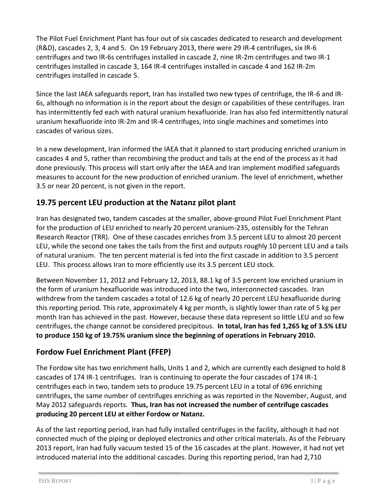The Pilot Fuel Enrichment Plant has four out of six cascades dedicated to research and development (R&D), cascades 2, 3, 4 and 5. On 19 February 2013, there were 29 IR-4 centrifuges, six IR-6 centrifuges and two IR-6s centrifuges installed in cascade 2, nine IR-2m centrifuges and two IR-1 centrifuges installed in cascade 3, 164 IR-4 centrifuges installed in cascade 4 and 162 IR-2m centrifuges installed in cascade 5.

Since the last IAEA safeguards report, Iran has installed two new types of centrifuge, the IR-6 and IR-6s, although no information is in the report about the design or capabilities of these centrifuges. Iran has intermittently fed each with natural uranium hexafluoride. Iran has also fed intermittently natural uranium hexafluoride into IR-2m and IR-4 centrifuges, into single machines and sometimes into cascades of various sizes.

In a new development, Iran informed the IAEA that it planned to start producing enriched uranium in cascades 4 and 5, rather than recombining the product and tails at the end of the process as it had done previously. This process will start only after the IAEA and Iran implement modified safeguards measures to account for the new production of enriched uranium. The level of enrichment, whether 3.5 or near 20 percent, is not given in the report.

# **19.75 percent LEU production at the Natanz pilot plant**

Iran has designated two, tandem cascades at the smaller, above-ground Pilot Fuel Enrichment Plant for the production of LEU enriched to nearly 20 percent uranium-235, ostensibly for the Tehran Research Reactor (TRR). One of these cascades enriches from 3.5 percent LEU to almost 20 percent LEU, while the second one takes the tails from the first and outputs roughly 10 percent LEU and a tails of natural uranium. The ten percent material is fed into the first cascade in addition to 3.5 percent LEU. This process allows Iran to more efficiently use its 3.5 percent LEU stock.

Between November 11, 2012 and February 12, 2013, 88.1 kg of 3.5 percent low enriched uranium in the form of uranium hexafluoride was introduced into the two, interconnected cascades. Iran withdrew from the tandem cascades a total of 12.6 kg of nearly 20 percent LEU hexafluoride during this reporting period. This rate, approximately 4 kg per month, is slightly lower than rate of 5 kg per month Iran has achieved in the past. However, because these data represent so little LEU and so few centrifuges, the change cannot be considered precipitous. **In total, Iran has fed 1,265 kg of 3.5% LEU to produce 150 kg of 19.75% uranium since the beginning of operations in February 2010.** 

# **Fordow Fuel Enrichment Plant (FFEP)**

The Fordow site has two enrichment halls, Units 1 and 2, which are currently each designed to hold 8 cascades of 174 IR-1 centrifuges. Iran is continuing to operate the four cascades of 174 IR-1 centrifuges each in two, tandem sets to produce 19.75 percent LEU in a total of 696 enriching centrifuges, the same number of centrifuges enriching as was reported in the November, August, and May 2012 safeguards reports. **Thus, Iran has not increased the number of centrifuge cascades producing 20 percent LEU at either Fordow or Natanz.**

As of the last reporting period, Iran had fully installed centrifuges in the facility, although it had not connected much of the piping or deployed electronics and other critical materials. As of the February 2013 report, Iran had fully vacuum tested 15 of the 16 cascades at the plant. However, it had not yet introduced material into the additional cascades. During this reporting period, Iran had 2,710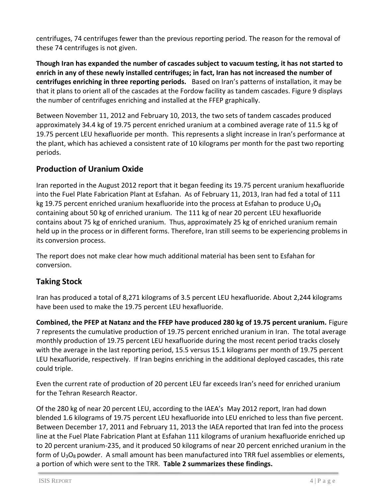centrifuges, 74 centrifuges fewer than the previous reporting period. The reason for the removal of these 74 centrifuges is not given.

**Though Iran has expanded the number of cascades subject to vacuum testing, it has not started to enrich in any of these newly installed centrifuges; in fact, Iran has not increased the number of centrifuges enriching in three reporting periods.** Based on Iran's patterns of installation, it may be that it plans to orient all of the cascades at the Fordow facility as tandem cascades. Figure 9 displays the number of centrifuges enriching and installed at the FFEP graphically.

Between November 11, 2012 and February 10, 2013, the two sets of tandem cascades produced approximately 34.4 kg of 19.75 percent enriched uranium at a combined average rate of 11.5 kg of 19.75 percent LEU hexafluoride per month. This represents a slight increase in Iran's performance at the plant, which has achieved a consistent rate of 10 kilograms per month for the past two reporting periods.

# **Production of Uranium Oxide**

Iran reported in the August 2012 report that it began feeding its 19.75 percent uranium hexafluoride into the Fuel Plate Fabrication Plant at Esfahan. As of February 11, 2013, Iran had fed a total of 111 kg 19.75 percent enriched uranium hexafluoride into the process at Esfahan to produce  $U_3O_8$ containing about 50 kg of enriched uranium. The 111 kg of near 20 percent LEU hexafluoride contains about 75 kg of enriched uranium. Thus, approximately 25 kg of enriched uranium remain held up in the process or in different forms. Therefore, Iran still seems to be experiencing problems in its conversion process.

The report does not make clear how much additional material has been sent to Esfahan for conversion.

# **Taking Stock**

Iran has produced a total of 8,271 kilograms of 3.5 percent LEU hexafluoride. About 2,244 kilograms have been used to make the 19.75 percent LEU hexafluoride.

**Combined, the PFEP at Natanz and the FFEP have produced 280 kg of 19.75 percent uranium.** Figure 7 represents the cumulative production of 19.75 percent enriched uranium in Iran. The total average monthly production of 19.75 percent LEU hexafluoride during the most recent period tracks closely with the average in the last reporting period, 15.5 versus 15.1 kilograms per month of 19.75 percent LEU hexafluoride, respectively. If Iran begins enriching in the additional deployed cascades, this rate could triple.

Even the current rate of production of 20 percent LEU far exceeds Iran's need for enriched uranium for the Tehran Research Reactor.

Of the 280 kg of near 20 percent LEU, according to the IAEA's May 2012 report, Iran had down blended 1.6 kilograms of 19.75 percent LEU hexafluoride into LEU enriched to less than five percent. Between December 17, 2011 and February 11, 2013 the IAEA reported that Iran fed into the process line at the Fuel Plate Fabrication Plant at Esfahan 111 kilograms of uranium hexafluoride enriched up to 20 percent uranium-235, and it produced 50 kilograms of near 20 percent enriched uranium in the form of  $U_3O_8$  powder. A small amount has been manufactured into TRR fuel assemblies or elements, a portion of which were sent to the TRR. **Table 2 summarizes these findings.**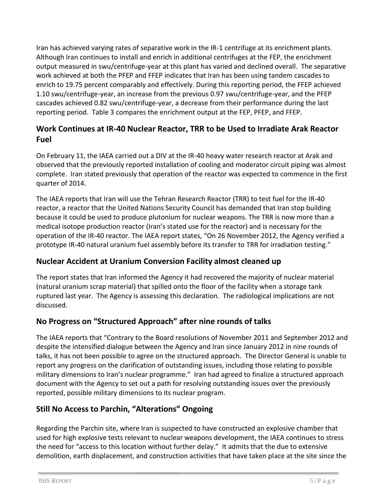Iran has achieved varying rates of separative work in the IR-1 centrifuge at its enrichment plants. Although Iran continues to install and enrich in additional centrifuges at the FEP, the enrichment output measured in swu/centrifuge-year at this plant has varied and declined overall. The separative work achieved at both the PFEP and FFEP indicates that Iran has been using tandem cascades to enrich to 19.75 percent comparably and effectively. During this reporting period, the FFEP achieved 1.10 swu/centrifuge-year, an increase from the previous 0.97 swu/centrifuge-year, and the PFEP cascades achieved 0.82 swu/centrifuge-year, a decrease from their performance during the last reporting period. Table 3 compares the enrichment output at the FEP, PFEP, and FFEP.

# **Work Continues at IR-40 Nuclear Reactor, TRR to be Used to Irradiate Arak Reactor Fuel**

On February 11, the IAEA carried out a DIV at the IR-40 heavy water research reactor at Arak and observed that the previously reported installation of cooling and moderator circuit piping was almost complete. Iran stated previously that operation of the reactor was expected to commence in the first quarter of 2014.

The IAEA reports that Iran will use the Tehran Research Reactor (TRR) to test fuel for the IR-40 reactor, a reactor that the United Nations Security Council has demanded that Iran stop building because it could be used to produce plutonium for nuclear weapons. The TRR is now more than a medical isotope production reactor (Iran's stated use for the reactor) and is necessary for the operation of the IR-40 reactor. The IAEA report states, "On 26 November 2012, the Agency verified a prototype IR-40 natural uranium fuel assembly before its transfer to TRR for irradiation testing."

## **Nuclear Accident at Uranium Conversion Facility almost cleaned up**

The report states that Iran informed the Agency it had recovered the majority of nuclear material (natural uranium scrap material) that spilled onto the floor of the facility when a storage tank ruptured last year. The Agency is assessing this declaration. The radiological implications are not discussed.

## **No Progress on "Structured Approach" after nine rounds of talks**

The IAEA reports that "Contrary to the Board resolutions of November 2011 and September 2012 and despite the intensified dialogue between the Agency and Iran since January 2012 in nine rounds of talks, it has not been possible to agree on the structured approach. The Director General is unable to report any progress on the clarification of outstanding issues, including those relating to possible military dimensions to Iran's nuclear programme." Iran had agreed to finalize a structured approach document with the Agency to set out a path for resolving outstanding issues over the previously reported, possible military dimensions to its nuclear program.

## **Still No Access to Parchin, "Alterations" Ongoing**

Regarding the Parchin site, where Iran is suspected to have constructed an explosive chamber that used for high explosive tests relevant to nuclear weapons development, the IAEA continues to stress the need for "access to this location without further delay." It admits that the due to extensive demolition, earth displacement, and construction activities that have taken place at the site since the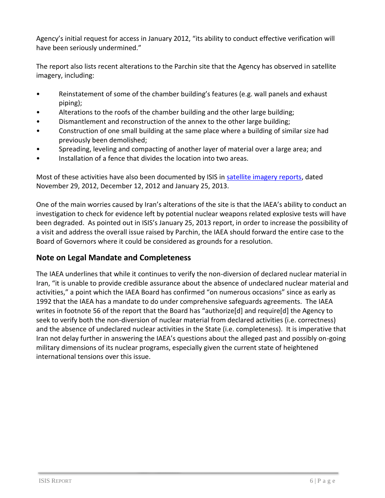Agency's initial request for access in January 2012, "its ability to conduct effective verification will have been seriously undermined."

The report also lists recent alterations to the Parchin site that the Agency has observed in satellite imagery, including:

- Reinstatement of some of the chamber building's features (e.g. wall panels and exhaust piping);
- Alterations to the roofs of the chamber building and the other large building;
- Dismantlement and reconstruction of the annex to the other large building;
- Construction of one small building at the same place where a building of similar size had previously been demolished;
- Spreading, leveling and compacting of another layer of material over a large area; and
- Installation of a fence that divides the location into two areas.

Most of these activities have also been documented by ISIS in [satellite imagery reports,](http://isis-online.org/isis-reports/imagery/category/iran/) dated November 29, 2012, December 12, 2012 and January 25, 2013.

One of the main worries caused by Iran's alterations of the site is that the IAEA's ability to conduct an investigation to check for evidence left by potential nuclear weapons related explosive tests will have been degraded. As pointed out in ISIS's January 25, 2013 report, in order to increase the possibility of a visit and address the overall issue raised by Parchin, the IAEA should forward the entire case to the Board of Governors where it could be considered as grounds for a resolution.

#### **Note on Legal Mandate and Completeness**

The IAEA underlines that while it continues to verify the non-diversion of declared nuclear material in Iran, "it is unable to provide credible assurance about the absence of undeclared nuclear material and activities," a point which the IAEA Board has confirmed "on numerous occasions" since as early as 1992 that the IAEA has a mandate to do under comprehensive safeguards agreements. The IAEA writes in footnote 56 of the report that the Board has "authorize[d] and require[d] the Agency to seek to verify both the non-diversion of nuclear material from declared activities (i.e. correctness) and the absence of undeclared nuclear activities in the State (i.e. completeness). It is imperative that Iran not delay further in answering the IAEA's questions about the alleged past and possibly on-going military dimensions of its nuclear programs, especially given the current state of heightened international tensions over this issue.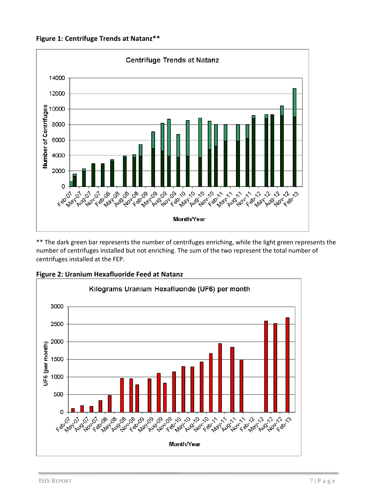**Figure 1: Centrifuge Trends at Natanz\*\***



\*\* The dark green bar represents the number of centrifuges enriching, while the light green represents the number of centrifuges installed but not enriching. The sum of the two represent the total number of centrifuges installed at the FEP.



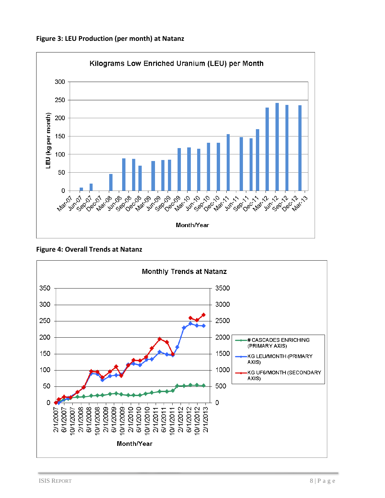





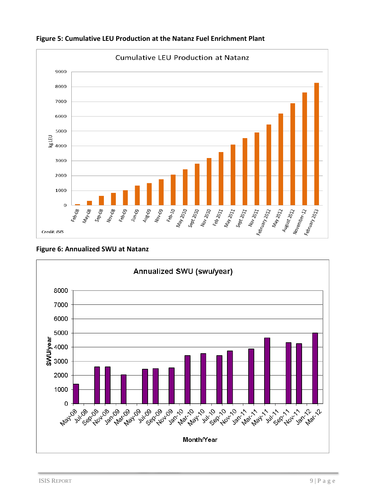

**Figure 5: Cumulative LEU Production at the Natanz Fuel Enrichment Plant**

**Figure 6: Annualized SWU at Natanz**

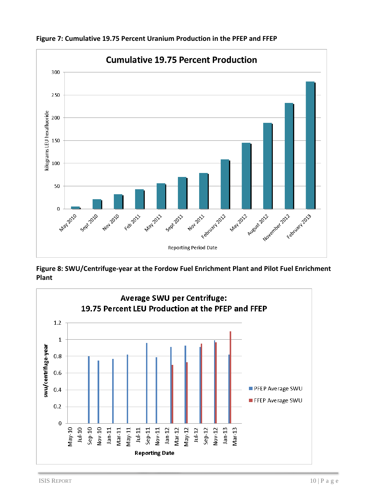

**Figure 7: Cumulative 19.75 Percent Uranium Production in the PFEP and FFEP** 

**Figure 8: SWU/Centrifuge-year at the Fordow Fuel Enrichment Plant and Pilot Fuel Enrichment Plant**

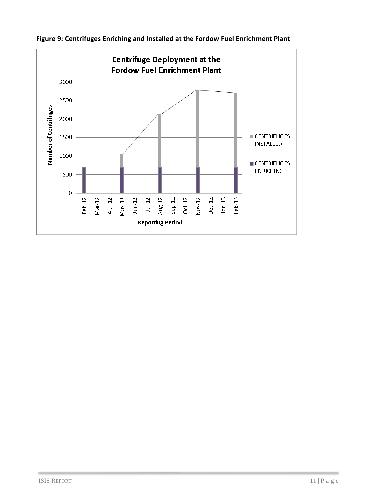

**Figure 9: Centrifuges Enriching and Installed at the Fordow Fuel Enrichment Plant**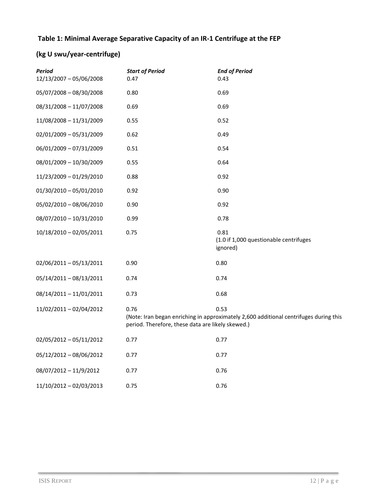#### **Table 1: Minimal Average Separative Capacity of an IR-1 Centrifuge at the FEP**

# **(kg U swu/year-centrifuge)**

| <b>Period</b><br>12/13/2007 - 05/06/2008 | <b>Start of Period</b><br>0.47                                                                                                                             | <b>End of Period</b><br>0.43                               |  |
|------------------------------------------|------------------------------------------------------------------------------------------------------------------------------------------------------------|------------------------------------------------------------|--|
| 05/07/2008 - 08/30/2008                  | 0.80                                                                                                                                                       | 0.69                                                       |  |
| 08/31/2008 - 11/07/2008                  | 0.69                                                                                                                                                       | 0.69                                                       |  |
| 11/08/2008 - 11/31/2009                  | 0.55                                                                                                                                                       | 0.52                                                       |  |
| $02/01/2009 - 05/31/2009$                | 0.62                                                                                                                                                       | 0.49                                                       |  |
| 06/01/2009 - 07/31/2009                  | 0.51                                                                                                                                                       | 0.54                                                       |  |
| 08/01/2009 - 10/30/2009                  | 0.55                                                                                                                                                       | 0.64                                                       |  |
| 11/23/2009 - 01/29/2010                  | 0.88                                                                                                                                                       | 0.92                                                       |  |
| $01/30/2010 - 05/01/2010$                | 0.92                                                                                                                                                       | 0.90                                                       |  |
| 05/02/2010 - 08/06/2010                  | 0.90                                                                                                                                                       | 0.92                                                       |  |
| 08/07/2010 - 10/31/2010                  | 0.99                                                                                                                                                       | 0.78                                                       |  |
| 10/18/2010 - 02/05/2011                  | 0.75                                                                                                                                                       | 0.81<br>(1.0 if 1,000 questionable centrifuges<br>ignored) |  |
| 02/06/2011-05/13/2011                    | 0.90                                                                                                                                                       | 0.80                                                       |  |
| 05/14/2011 - 08/13/2011                  | 0.74                                                                                                                                                       | 0.74                                                       |  |
| 08/14/2011 - 11/01/2011                  | 0.73                                                                                                                                                       | 0.68                                                       |  |
| 11/02/2011 - 02/04/2012                  | 0.76<br>0.53<br>(Note: Iran began enriching in approximately 2,600 additional centrifuges during this<br>period. Therefore, these data are likely skewed.) |                                                            |  |
| $02/05/2012 - 05/11/2012$                | 0.77                                                                                                                                                       | 0.77                                                       |  |
| 05/12/2012 - 08/06/2012                  | 0.77                                                                                                                                                       | 0.77                                                       |  |
| 08/07/2012 - 11/9/2012                   | 0.77                                                                                                                                                       | 0.76                                                       |  |
| 11/10/2012 - 02/03/2013                  | 0.75                                                                                                                                                       | 0.76                                                       |  |